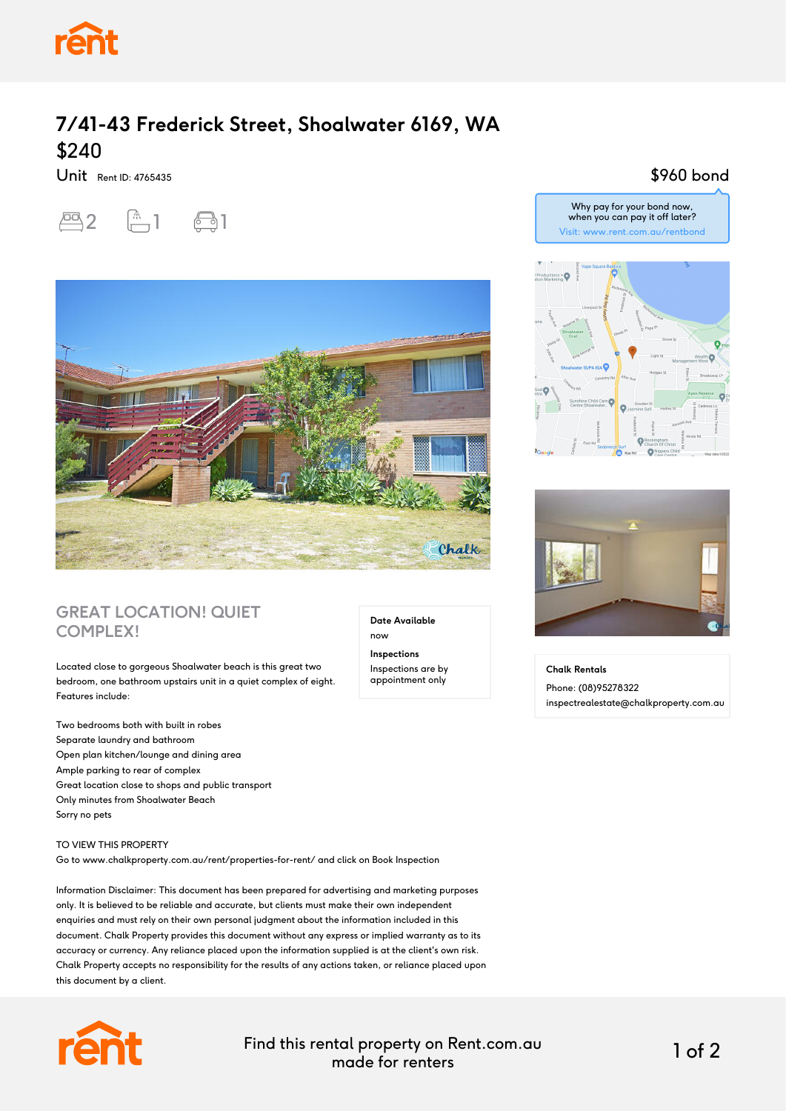

## **7/41-43 Frederick Street, Shoalwater 6169, WA** \$240

Unit Rent ID: 4765435





### **GREAT LOCATION! QUIET COMPLEX!**

Located close to gorgeous Shoalwater beach is this great two bedroom, one bathroom upstairs unit in a quiet complex of eight. Features include:

Two bedrooms both with built in robes Separate laundry and bathroom Open plan kitchen/lounge and dining area Ample parking to rear of complex Great location close to shops and public transport Only minutes from Shoalwater Beach Sorry no pets

#### TO VIEW THIS PROPERTY

Go to www.chalkproperty.com.au/rent/properties-for-rent/ and click on Book Inspection

Information Disclaimer: This document has been prepared for advertising and marketing purposes only. It is believed to be reliable and accurate, but clients must make their own independent enquiries and must rely on their own personal judgment about the information included in this document. Chalk Property provides this document without any express or implied warranty as to its accuracy or currency. Any reliance placed upon the information supplied is at the client's own risk. Chalk Property accepts no responsibility for the results of any actions taken, or reliance placed upon this document by a client.



Find this rental property on Rent.com.au made for renters 1 of 2

**Date Available**

now **Inspections** Inspections are by appointment only

#### \$960 bond





**Chalk Rentals** Phone: (08)95278322 inspectrealestate@chalkproperty.com.au